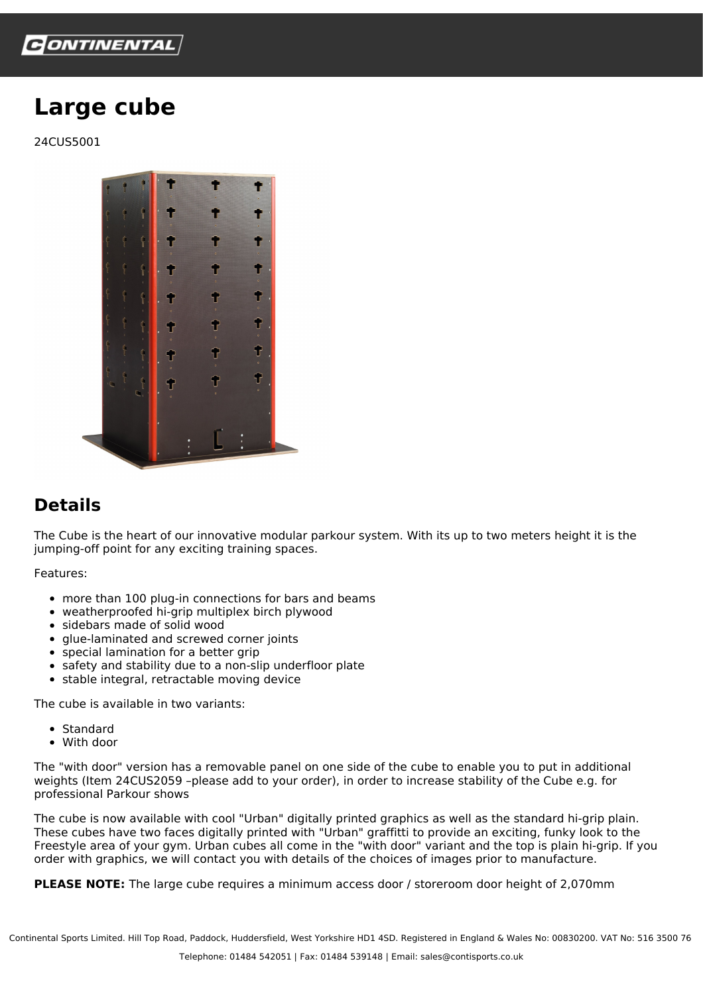

## **Large cube**

24CUS5001



## **Details**

The Cube is the heart of our innovative modular parkour system. With its up to two meters height it is the jumping-off point for any exciting training spaces.

Features:

- more than 100 plug-in connections for bars and beams
- weatherproofed hi-grip multiplex birch plywood
- sidebars made of solid wood
- glue-laminated and screwed corner joints
- special lamination for a better grip
- safety and stability due to a non-slip underfloor plate
- stable integral, retractable moving device

The cube is available in two variants:

- Standard
- With door

The "with door" version has a removable panel on one side of the cube to enable you to put in additional weights (Item 24CUS2059 –please add to your order), in order to increase stability of the Cube e.g. for professional Parkour shows

The cube is now available with cool "Urban" digitally printed graphics as well as the standard hi-grip plain. These cubes have two faces digitally printed with "Urban" graffitti to provide an exciting, funky look to the Freestyle area of your gym. Urban cubes all come in the "with door" variant and the top is plain hi-grip. If you order with graphics, we will contact you with details of the choices of images prior to manufacture.

**PLEASE NOTE:** The large cube requires a minimum access door / storeroom door height of 2,070mm

Continental Sports Limited. Hill Top Road, Paddock, Huddersfield, West Yorkshire HD1 4SD. Registered in England & Wales No: 00830200. VAT No: 516 3500 76